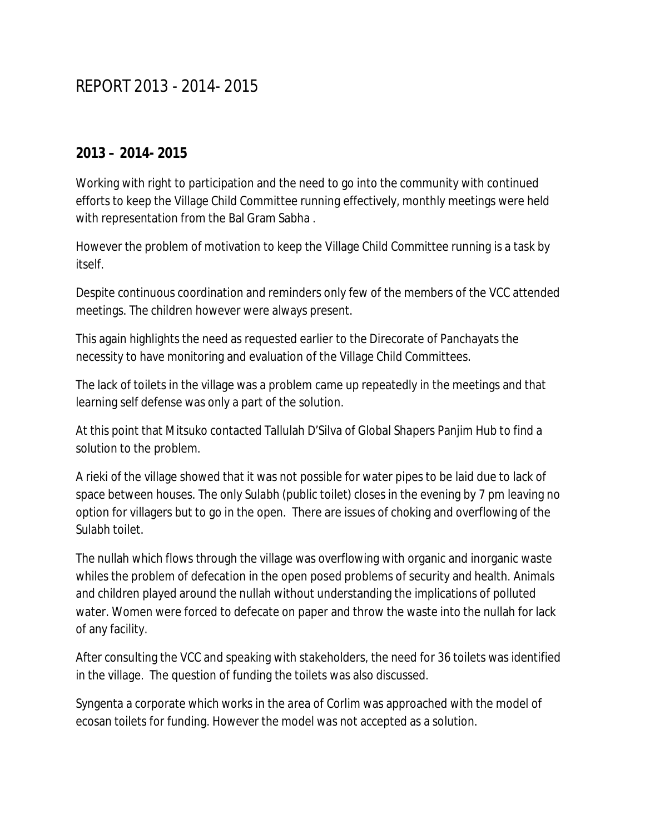## REPORT 2013 - 2014- 2015

## **2013 – 2014- 2015**

Working with right to participation and the need to go into the community with continued efforts to keep the Village Child Committee running effectively, monthly meetings were held with representation from the Bal Gram Sabha .

However the problem of motivation to keep the Village Child Committee running is a task by itself.

Despite continuous coordination and reminders only few of the members of the VCC attended meetings. The children however were always present.

This again highlights the need as requested earlier to the Direcorate of Panchayats the necessity to have monitoring and evaluation of the Village Child Committees.

The lack of toilets in the village was a problem came up repeatedly in the meetings and that learning self defense was only a part of the solution.

At this point that Mitsuko contacted Tallulah D'Silva of Global Shapers Panjim Hub to find a solution to the problem.

A rieki of the village showed that it was not possible for water pipes to be laid due to lack of space between houses. The only Sulabh (public toilet) closes in the evening by 7 pm leaving no option for villagers but to go in the open. There are issues of choking and overflowing of the Sulabh toilet.

The nullah which flows through the village was overflowing with organic and inorganic waste whiles the problem of defecation in the open posed problems of security and health. Animals and children played around the nullah without understanding the implications of polluted water. Women were forced to defecate on paper and throw the waste into the nullah for lack of any facility.

After consulting the VCC and speaking with stakeholders, the need for 36 toilets was identified in the village. The question of funding the toilets was also discussed.

Syngenta a corporate which works in the area of Corlim was approached with the model of ecosan toilets for funding. However the model was not accepted as a solution.